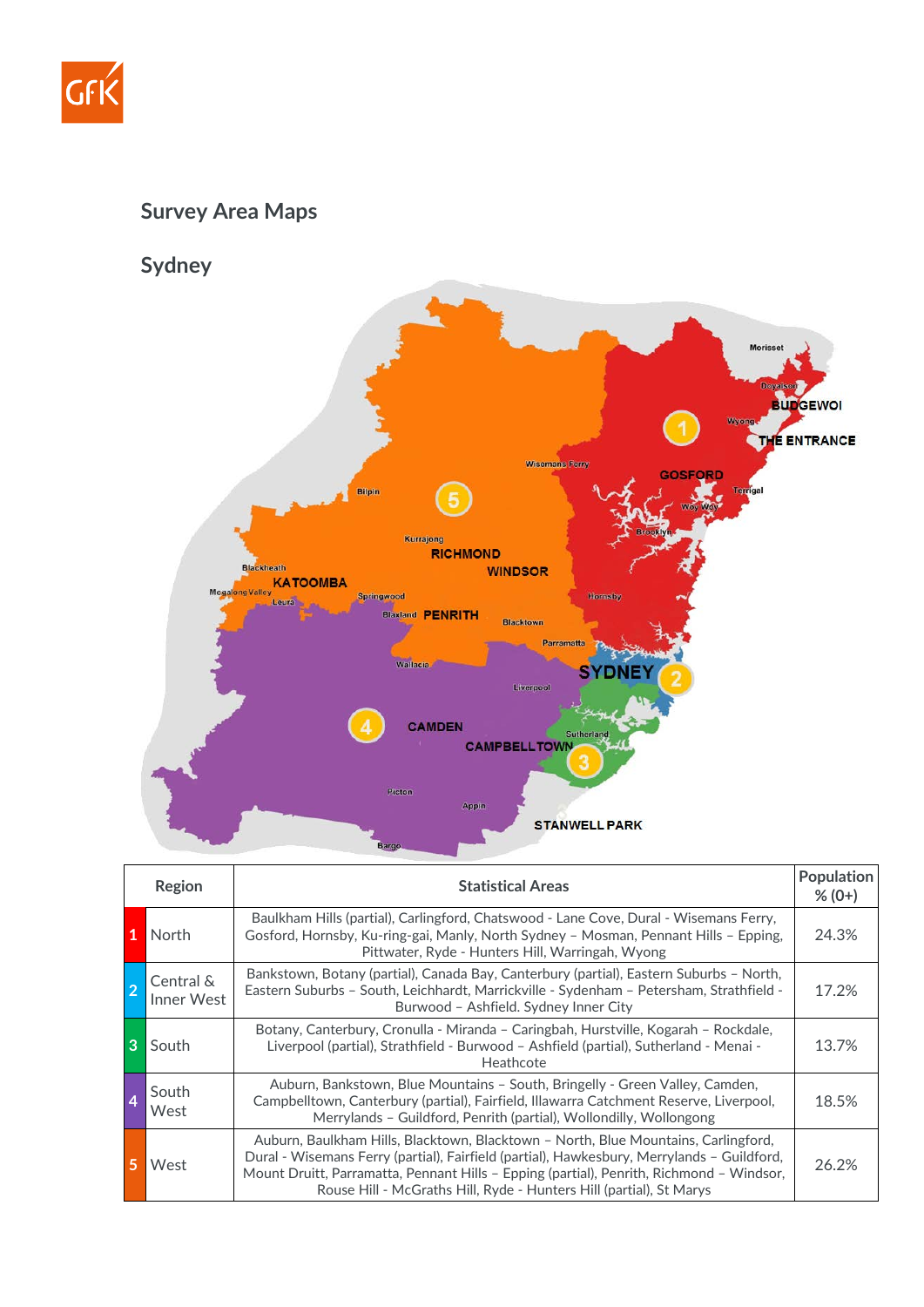

## **Survey Area Maps**

**Sydney**



|   | Region                  | <b>Statistical Areas</b>                                                                                                                                                                                                                                                                                                                            | <b>Population</b><br>$% (0+)$ |
|---|-------------------------|-----------------------------------------------------------------------------------------------------------------------------------------------------------------------------------------------------------------------------------------------------------------------------------------------------------------------------------------------------|-------------------------------|
| 1 | North                   | Baulkham Hills (partial), Carlingford, Chatswood - Lane Cove, Dural - Wisemans Ferry,<br>Gosford, Hornsby, Ku-ring-gai, Manly, North Sydney - Mosman, Pennant Hills - Epping,<br>Pittwater, Ryde - Hunters Hill, Warringah, Wyong                                                                                                                   | 24.3%                         |
|   | Central &<br>Inner West | Bankstown, Botany (partial), Canada Bay, Canterbury (partial), Eastern Suburbs - North,<br>Eastern Suburbs - South, Leichhardt, Marrickville - Sydenham - Petersham, Strathfield -<br>Burwood - Ashfield. Sydney Inner City                                                                                                                         | 17.2%                         |
| 3 | South                   | Botany, Canterbury, Cronulla - Miranda - Caringbah, Hurstville, Kogarah - Rockdale,<br>Liverpool (partial), Strathfield - Burwood - Ashfield (partial), Sutherland - Menai -<br>Heathcote                                                                                                                                                           | 13.7%                         |
| 4 | South<br>West           | Auburn, Bankstown, Blue Mountains - South, Bringelly - Green Valley, Camden,<br>Campbelltown, Canterbury (partial), Fairfield, Illawarra Catchment Reserve, Liverpool,<br>Merrylands - Guildford, Penrith (partial), Wollondilly, Wollongong                                                                                                        | 18.5%                         |
|   | West                    | Auburn, Baulkham Hills, Blacktown, Blacktown - North, Blue Mountains, Carlingford,<br>Dural - Wisemans Ferry (partial), Fairfield (partial), Hawkesbury, Merrylands - Guildford,<br>Mount Druitt, Parramatta, Pennant Hills - Epping (partial), Penrith, Richmond - Windsor,<br>Rouse Hill - McGraths Hill, Ryde - Hunters Hill (partial), St Marys | 26.2%                         |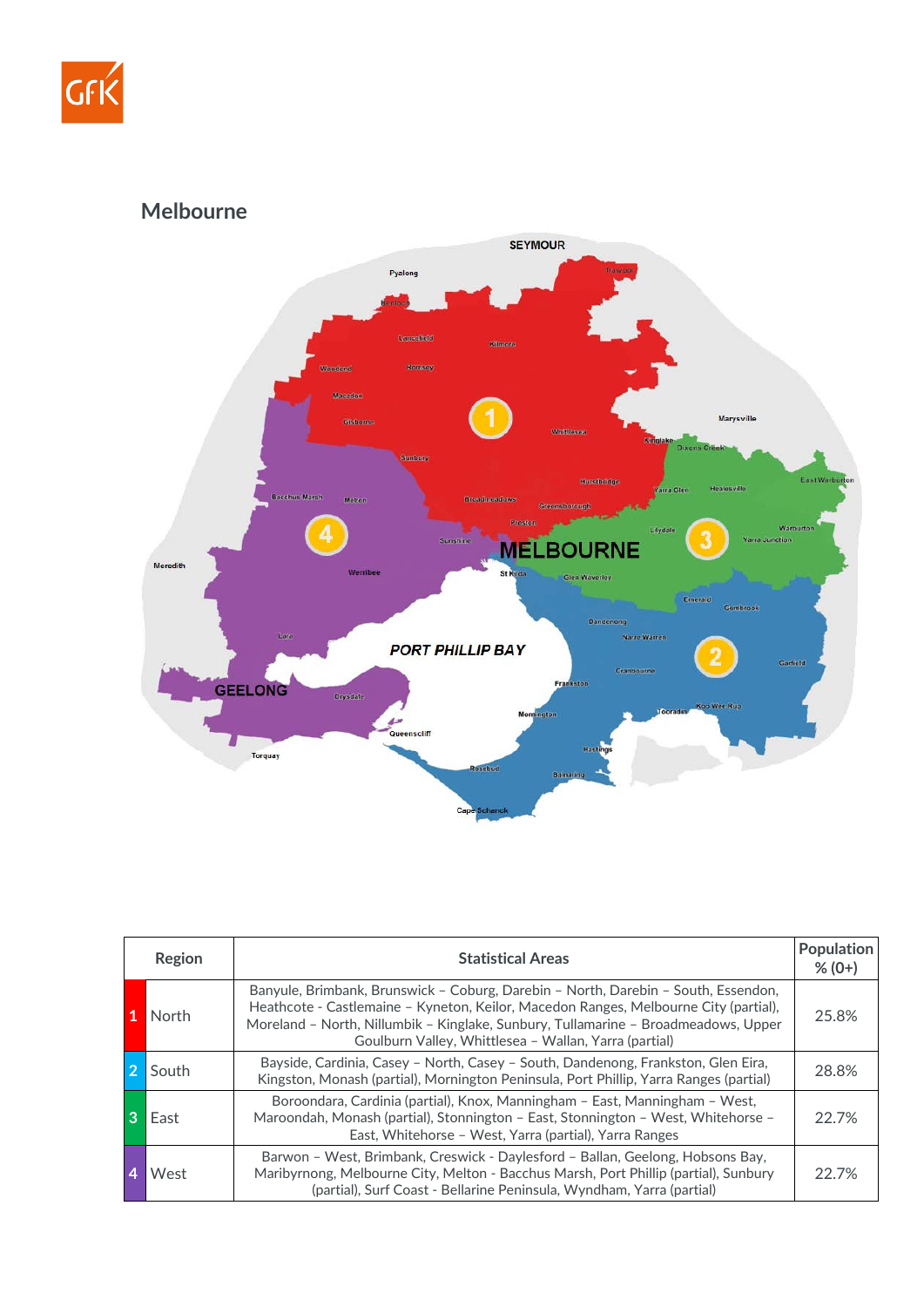

**Melbourne**



| Region | <b>Statistical Areas</b>                                                                                                                                                                                                                                                                                                  | Population<br>$% (0+)$ |
|--------|---------------------------------------------------------------------------------------------------------------------------------------------------------------------------------------------------------------------------------------------------------------------------------------------------------------------------|------------------------|
| North  | Banyule, Brimbank, Brunswick - Coburg, Darebin - North, Darebin - South, Essendon,<br>Heathcote - Castlemaine - Kyneton, Keilor, Macedon Ranges, Melbourne City (partial),<br>Moreland - North, Nillumbik - Kinglake, Sunbury, Tullamarine - Broadmeadows, Upper<br>Goulburn Valley, Whittlesea - Wallan, Yarra (partial) | 25.8%                  |
| South  | Bayside, Cardinia, Casey - North, Casey - South, Dandenong, Frankston, Glen Eira,<br>Kingston, Monash (partial), Mornington Peninsula, Port Phillip, Yarra Ranges (partial)                                                                                                                                               | 28.8%                  |
| East   | Boroondara, Cardinia (partial), Knox, Manningham – East, Manningham – West,<br>Maroondah, Monash (partial), Stonnington - East, Stonnington - West, Whitehorse -<br>East, Whitehorse - West, Yarra (partial), Yarra Ranges                                                                                                | 22.7%                  |
| West   | Barwon - West, Brimbank, Creswick - Daylesford - Ballan, Geelong, Hobsons Bay,<br>Maribyrnong, Melbourne City, Melton - Bacchus Marsh, Port Phillip (partial), Sunbury<br>(partial), Surf Coast - Bellarine Peninsula, Wyndham, Yarra (partial)                                                                           | 22.7%                  |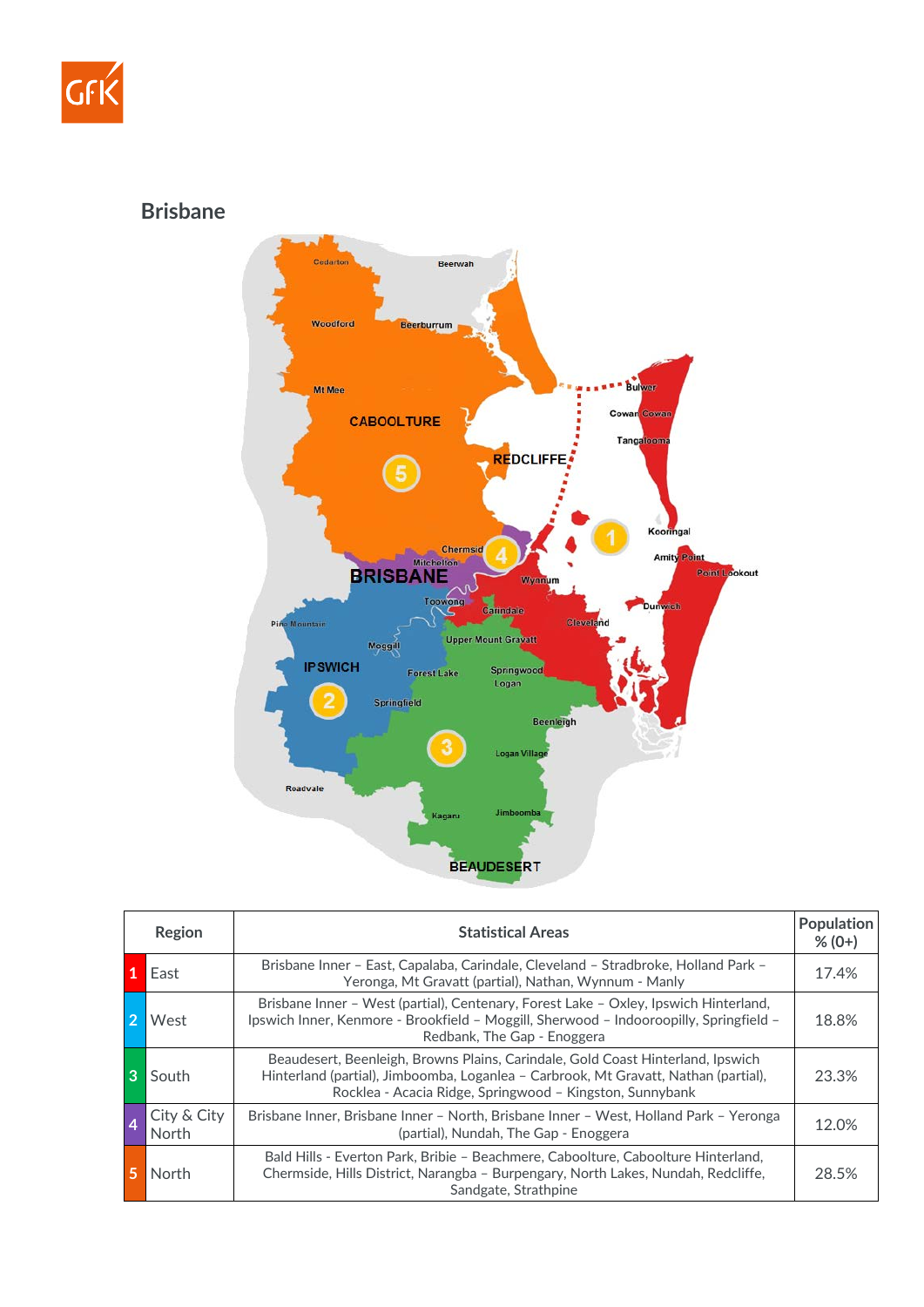

**Brisbane**



|                | Region               | <b>Statistical Areas</b>                                                                                                                                                                                                           | <b>Population</b><br>$% (0+)$ |
|----------------|----------------------|------------------------------------------------------------------------------------------------------------------------------------------------------------------------------------------------------------------------------------|-------------------------------|
|                | East                 | Brisbane Inner - East, Capalaba, Carindale, Cleveland - Stradbroke, Holland Park -<br>Yeronga, Mt Gravatt (partial), Nathan, Wynnum - Manly                                                                                        | 17.4%                         |
|                | West                 | Brisbane Inner - West (partial), Centenary, Forest Lake - Oxley, Ipswich Hinterland,<br>Ipswich Inner, Kenmore - Brookfield - Moggill, Sherwood - Indooroopilly, Springfield -<br>Redbank, The Gap - Enoggera                      | 18.8%                         |
| 3              | South                | Beaudesert, Beenleigh, Browns Plains, Carindale, Gold Coast Hinterland, Ipswich<br>Hinterland (partial), Jimboomba, Loganlea - Carbrook, Mt Gravatt, Nathan (partial),<br>Rocklea - Acacia Ridge, Springwood - Kingston, Sunnybank | 23.3%                         |
| $\overline{4}$ | City & City<br>North | Brisbane Inner, Brisbane Inner - North, Brisbane Inner - West, Holland Park - Yeronga<br>(partial), Nundah, The Gap - Enoggera                                                                                                     | 12.0%                         |
|                | North                | Bald Hills - Everton Park, Bribie - Beachmere, Caboolture, Caboolture Hinterland,<br>Chermside, Hills District, Narangba - Burpengary, North Lakes, Nundah, Redcliffe,<br>Sandgate, Strathpine                                     | 28.5%                         |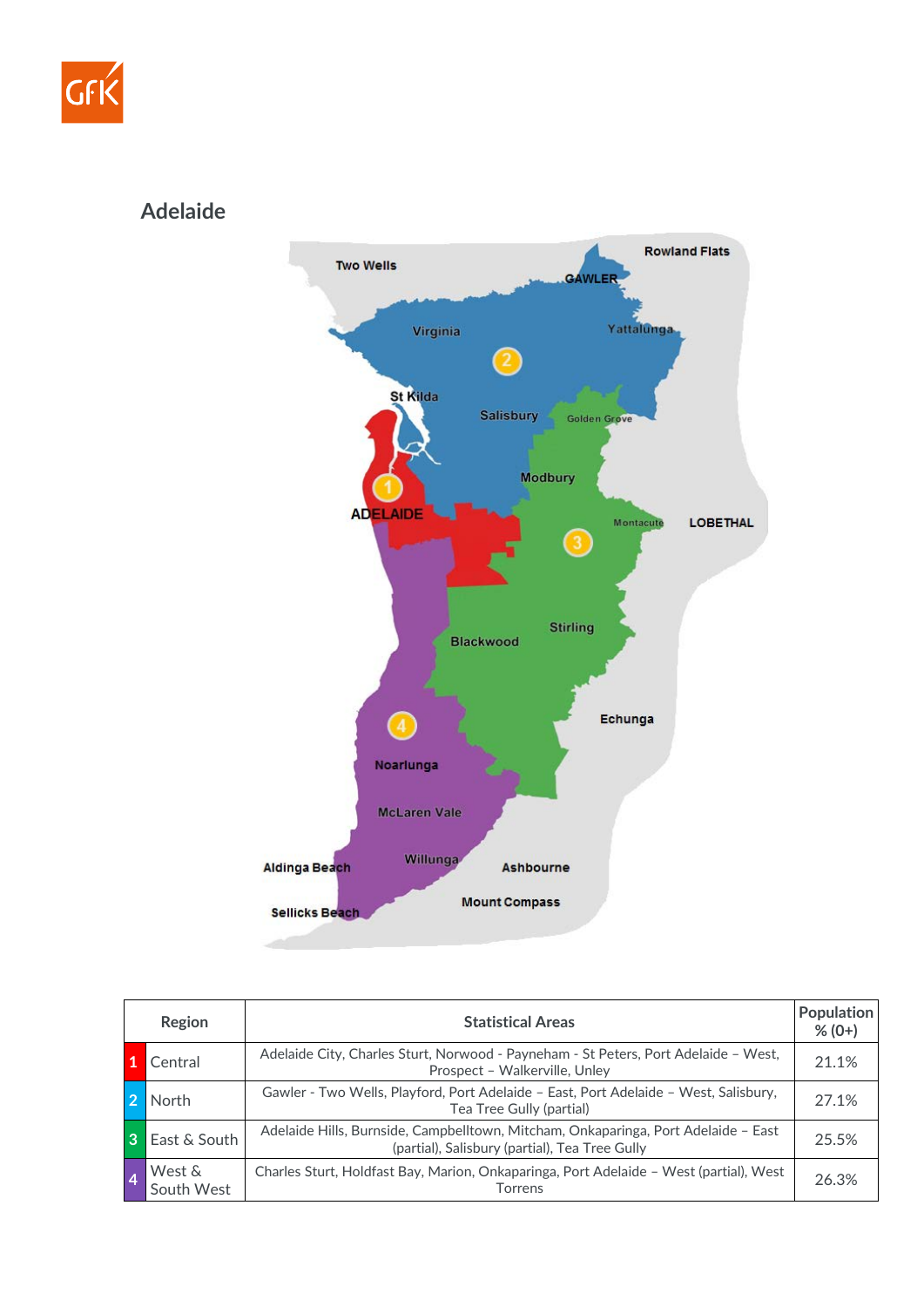

## **Adelaide**



|   | Region               | <b>Statistical Areas</b>                                                                                                             | Population<br>$% (0+)$ |
|---|----------------------|--------------------------------------------------------------------------------------------------------------------------------------|------------------------|
|   | Central              | Adelaide City, Charles Sturt, Norwood - Payneham - St Peters, Port Adelaide - West,<br>Prospect - Walkerville, Unley                 | 21.1%                  |
|   | North                | Gawler - Two Wells, Playford, Port Adelaide - East, Port Adelaide - West, Salisbury,<br>Tea Tree Gully (partial)                     | 27.1%                  |
| 3 | East & South         | Adelaide Hills, Burnside, Campbelltown, Mitcham, Onkaparinga, Port Adelaide – East<br>(partial), Salisbury (partial), Tea Tree Gully | 25.5%                  |
|   | West &<br>South West | Charles Sturt, Holdfast Bay, Marion, Onkaparinga, Port Adelaide - West (partial), West<br>Torrens                                    | 26.3%                  |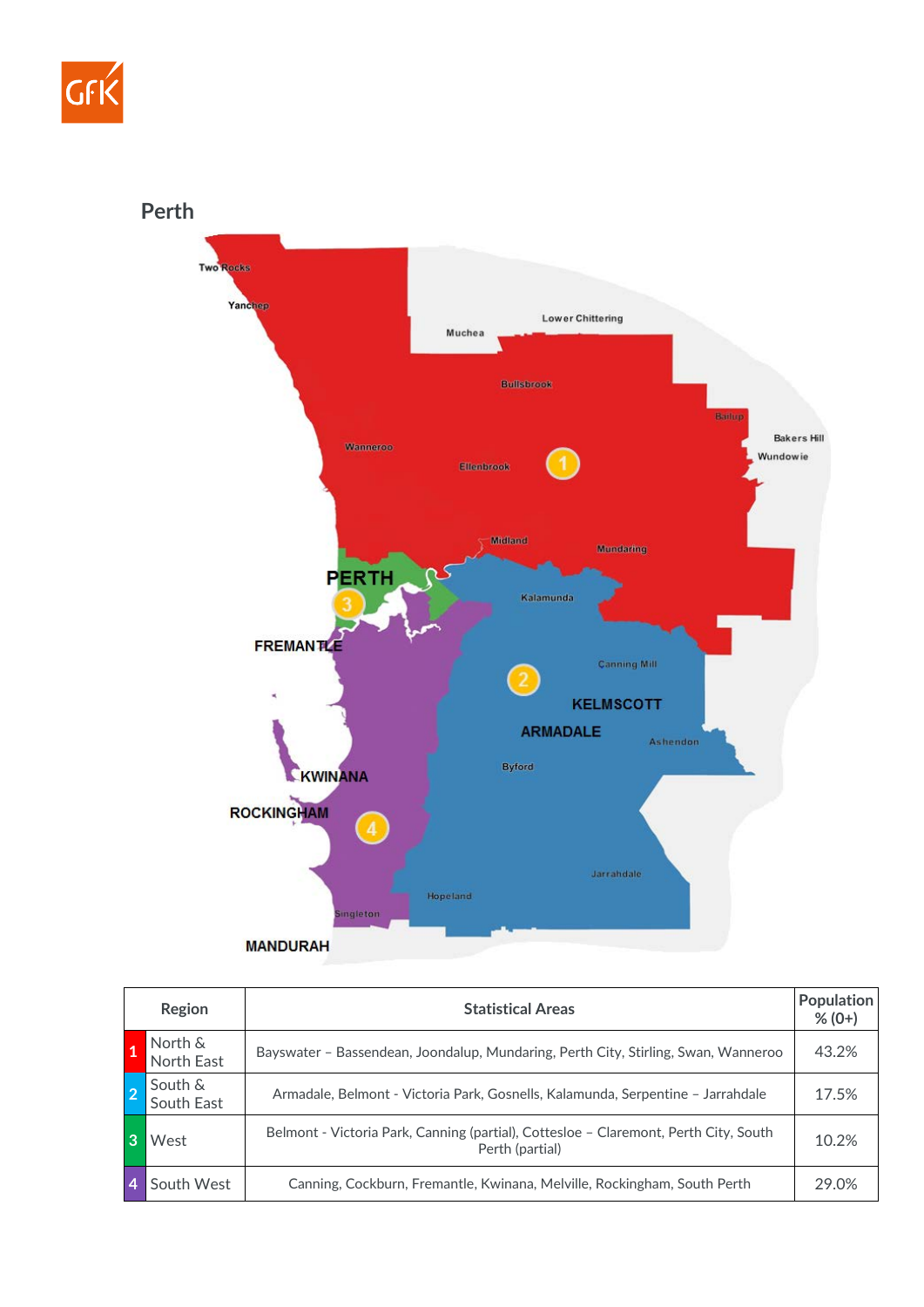



| Region |                       | <b>Statistical Areas</b>                                                                                | <b>Population</b><br>$% (0+)$ |
|--------|-----------------------|---------------------------------------------------------------------------------------------------------|-------------------------------|
|        | North &<br>North East | Bayswater - Bassendean, Joondalup, Mundaring, Perth City, Stirling, Swan, Wanneroo                      | 43.2%                         |
|        | South &<br>South East | Armadale, Belmont - Victoria Park, Gosnells, Kalamunda, Serpentine - Jarrahdale                         | 17.5%                         |
|        | West                  | Belmont - Victoria Park, Canning (partial), Cottesloe - Claremont, Perth City, South<br>Perth (partial) | 10.2%                         |
|        | South West            | Canning, Cockburn, Fremantle, Kwinana, Melville, Rockingham, South Perth                                | 29.0%                         |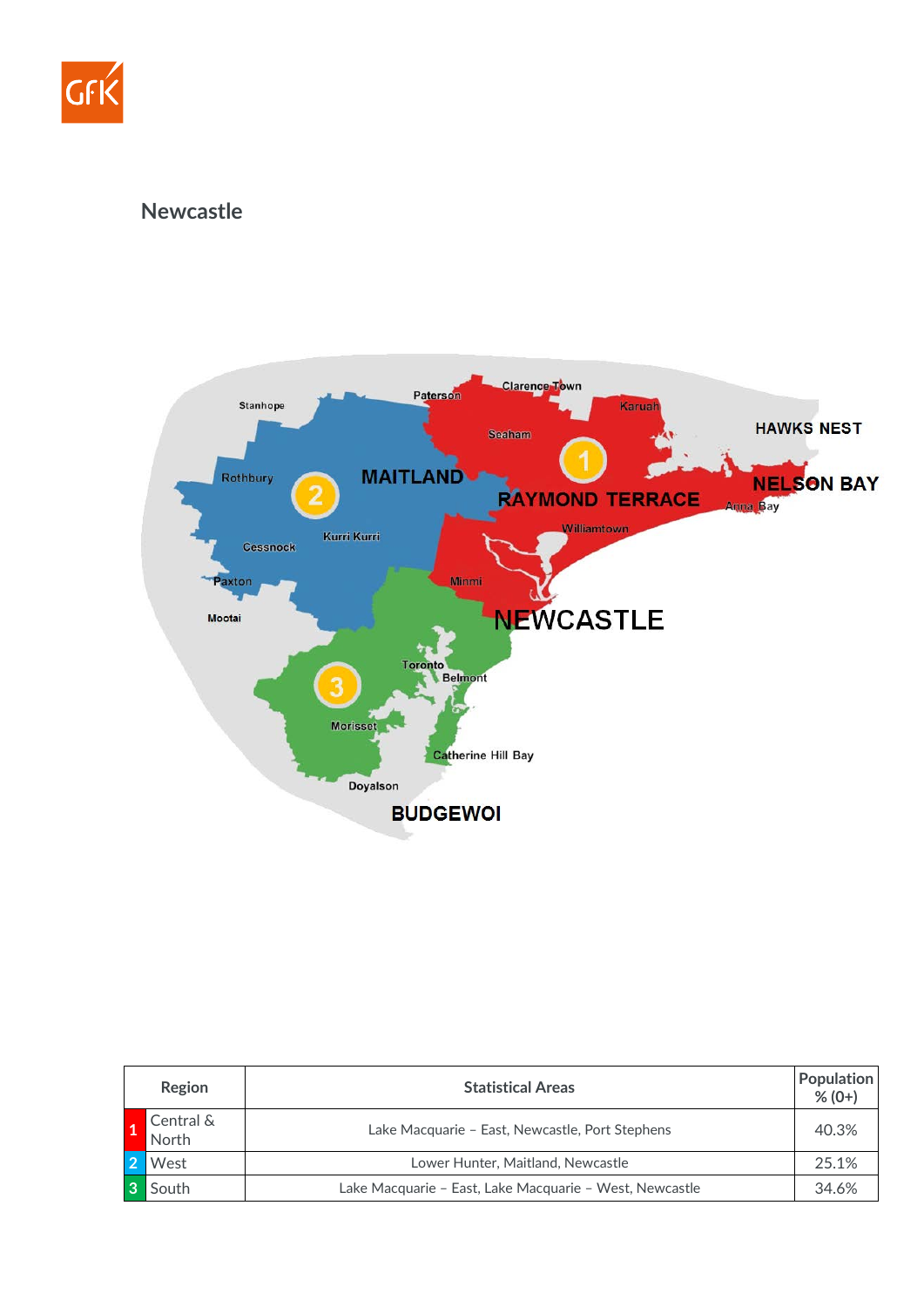

## **Newcastle**



| Region             | <b>Statistical Areas</b>                                | <b>Population</b><br>$% (0+)$ |
|--------------------|---------------------------------------------------------|-------------------------------|
| Central &<br>North | Lake Macquarie - East, Newcastle, Port Stephens         | 40.3%                         |
| West               | Lower Hunter, Maitland, Newcastle                       | 25.1%                         |
| South              | Lake Macquarie – East, Lake Macquarie – West, Newcastle | 34.6%                         |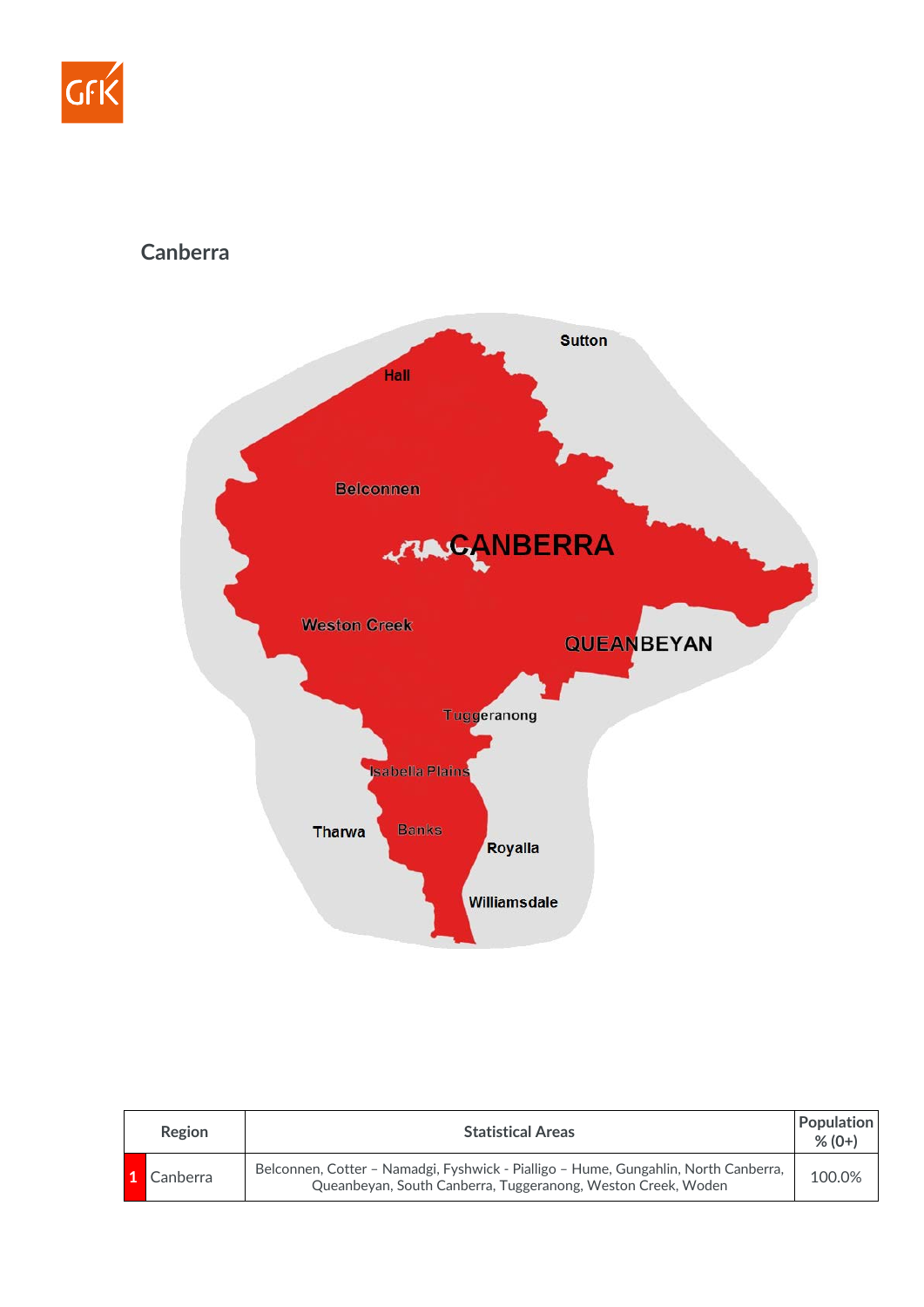

## **Canberra**



| <b>Region</b> | <b>Statistical Areas</b>                                                                                                                            | <b>Population</b><br>$% (0+)$ |
|---------------|-----------------------------------------------------------------------------------------------------------------------------------------------------|-------------------------------|
| Canberra      | Belconnen, Cotter - Namadgi, Fyshwick - Pialligo - Hume, Gungahlin, North Canberra,<br>Queanbeyan, South Canberra, Tuggeranong, Weston Creek, Woden | 100.0%                        |